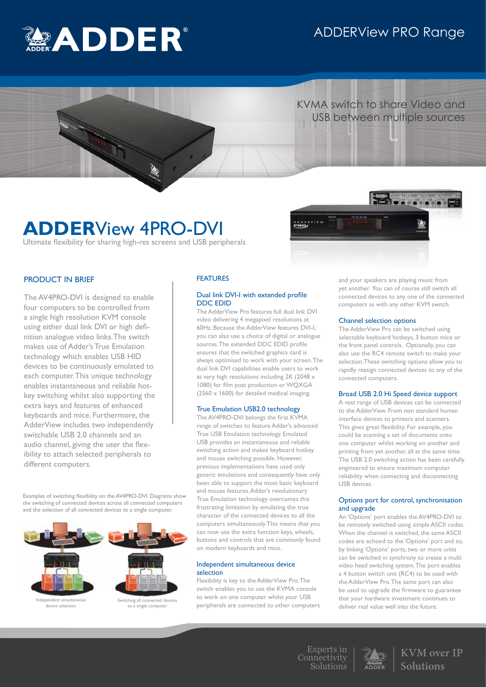# ADDERView PRO Range



 KVMA switch to share Video and USB between multiple sources

# **ADDER**View 4PRO-DVI

Ultimate flexibility for sharing high-res screens and USB peripherals



# PRODUCT IN BRIEF

The AV4PRO-DVI is designed to enable four computers to be controlled from a single high resolution KVM console using either dual link DVI or high definition analogue video links. The switch makes use of Adder's True Emulation technology which enables USB HID devices to be continuously emulated to each computer. This unique technology enables instantaneous and reliable hotkey switching whilst also supporting the extra keys and features of enhanced keyboards and mice. Furthermore, the AdderView includes two independently switchable USB 2.0 channels and an audio channel, giving the user the flexibility to attach selected peripherals to different computers.

Examples of switching flexibility on the AV4PRO-DVI. Diagrams show the switching of connected devices across all connected computers and the selection of all connected devices to a single computer.



# FEATURES

# Dual link DVI-I with extended profile DDC EDID

The AdderView Pro features full dual link DVI video delivering 4 megapixel resolutions at 60Hz. Because the AdderView features DVI-I, you can also use a choice of digital or analogue sources. The extended DDC EDID profile ensures that the switched graphics card is always optimised to work with your screen. The dual link DVI capabilities enable users to work at very high resolutions including 2K (2048 x 1080) for film post production or WQXGA  $(2560 \times 1600)$  for detailed medical imaging.

# True Emulation USB2.0 technology

The AV4PRO-DVI belongs the first KVMA range of switches to feature Adder's advanced True USB Emulation technology. Emulated USB provides an instantaneous and reliable switching action and makes keyboard hotkey and mouse switching possible. However, previous implementations have used only generic emulations and consequently have only been able to support the most basic keyboard and mouse features. Adder's revolutionary True Emulation technology overcomes this frustrating limitation by emulating the true character of the connected devices to all the computers simultaneously. This means that you can now use the extra function keys, wheels, buttons and controls that are commonly found on modern keyboards and mice.

## Independent simultaneous device selection

Flexibility is key to the AdderView Pro. The switch enables you to use the KVMA console to work on one computer whilst your USB peripherals are connected to other computers and your speakers are playing music from yet another. You can of course still switch all connected devices to any one of the connected computers as with any other KVM switch.

# Channel selection options

The AdderView Pro can be switched using selectable keyboard hotkeys, 3 button mice or the front panel controls. Optionally, you can also use the RC4 remote switch to make your selection.These switching options allow you to rapidly reasign connected devices to any of the connected computers.

# Broad USB 2.0 Hi Speed device support

A vast range of USB devices can be connected to the AdderView. From non standard human interface devices to printers and scanners. This gives great flexibility. For example, you could be scanning a set of documents onto one computer whilst working on another and printing from yet another, all at the same time. The USB 2.0 switching action has been carefully engineered to ensure maximum computer reliability when connecting and disconnecting USB devices.

# Options port for control, synchronisation and upgrade

An 'Options' port enables the AV4PRO-DVI to be remotely switched using simple ASCII codes. When the channel is switched, the same ASCII codes are echoed to the 'Options' port and so, by linking 'Options' ports, two or more units can be switched in synchrony to create a multi video head switching system. The port enables a 4 button switch unit (RC4) to be used with the AdderView Pro. The same port can also be used to upgrade the firmware to guarantee that your hardware investment continues to deliver real value well into the future.

Experts in Connectivity Solutions